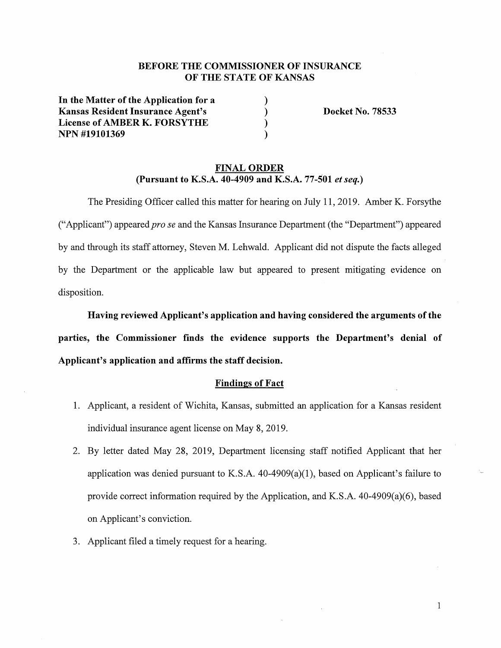# **BEFORE THE COMMISSIONER OF INSURANCE OF THE STATE OF KANSAS**

) ) ) )

**In the Matter of the Application for a Kansas Resident Insurance Agent's License of AMBER K. FORSYTHE NPN #19101369** 

**Docket No. 78533** 

# **FINAL ORDER (Pursuant to K.S.A. 40-4909 and K.S.A. 77-501** *et seq.)*

The Presiding Officer called this matter for hearing on July 11, 2019. Amber K. Forsythe ("Applicant") appeared *pro se* and the Kansas Insurance Department ( the "Department") appeared by and through its staff attorney, Steven M. Lehwald. Applicant did not dispute the facts alleged by the Department or the applicable law but appeared to present mitigating evidence on disposition.

**Having reviewed Applicant's application and having considered the arguments of the parties, the Commissioner finds the evidence supports the Department's denial of Applicant's application and affirms the staff decision.** 

#### **Findings of Fact**

- 1. Applicant, a resident of Wichita, Kansas, submitted an application for a Kansas resident individual insurance agent license on May 8, 2019.
- 2. By letter dated May 28, 2019, Department licensing staff notified Applicant that her application was denied pursuant to K.S.A.  $40-4909(a)(1)$ , based on Applicant's failure to provide correct information required by the Application, and K.S.A. 40-4909(a)(6), based on Applicant's conviction.
- 3. Applicant filed a timely request for a hearing.

1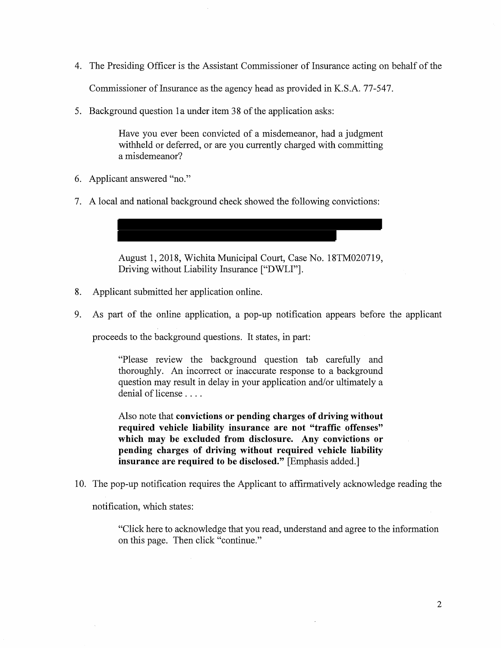4. The Presiding Officer is the Assistant Commissioner of Insurance acting on behalf of the

Commissioner of Insurance as the agency head as provided in K.S.A. 77-547.

5. Background question 1 a under item 38 of the application asks:

Have you ever been convicted of a misdemeanor, had a judgment withheld or deferred, or are you currently charged with committing a misdemeanor?

- 6. Applicant answered "no."
- 7. A local and national background check showed the following convictions:

August 1, 2018, Wichita Municipal Court, Case No. 18TM020719, Driving without Liability Insurance ["DWLI"].

- 8. Applicant submitted her application online.
- 9. As part of the online application, a pop-up notification appears before the applicant

proceeds to the background questions. It states, in part:

"Please review the background question tab carefully and thoroughly. An incorrect or inaccurate response to a background question may result in delay in your application and/or ultimately a denial of license ....

Also note that **convictions or pending charges of driving without required vehicle liability insurance are not "traffic offenses" which may be excluded from disclosure. Any convictions or pending charges of driving without required vehicle liability insurance are required to be disclosed."** [Emphasis added.]

10. The pop-up notification requires the Applicant to affirmatively acknowledge reading the

notification, which states:

"Click here to acknowledge that you read, understand and agree to the information on this page. Then click "continue."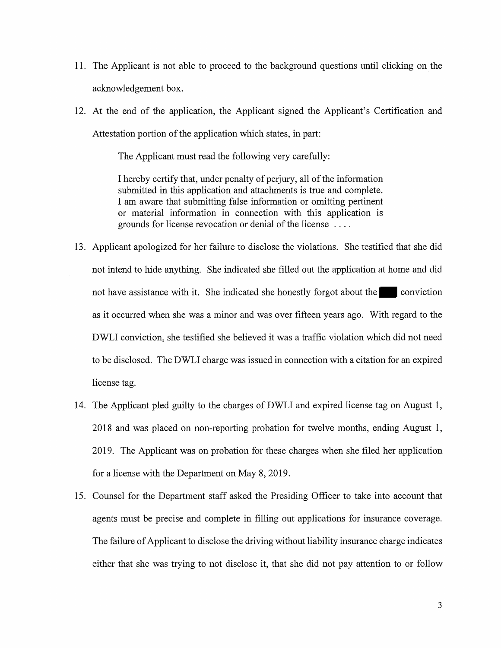- 11. The Applicant is not able to proceed to the background questions until clicking on the acknowledgement box.
- 12. At the end of the application, the Applicant signed the Applicant's Certification and Attestation portion of the application which states, in part:

The Applicant must read the following very carefully:

I hereby certify that, under penalty of perjury, all of the information submitted in this application and attachments is true and complete. I am aware that submitting false information or omitting pertinent or material information in connection with this application 1s grounds for license revocation or denial of the license ....

- 13. Applicant apologized for her failure to disclose the violations. She testified that she did not intend to hide anything. She indicated she filled out the application at home and did not have assistance with it. She indicated she honestly forgot about the conviction as it occurred when she was a minor and was over fifteen years ago. With regard to the DWLI conviction, she testified she believed it was a traffic violation which did not need to be disclosed. The DWLI charge was issued in connection with a citation for an expired license tag.
- 14. The Applicant pied guilty to the charges of DWLI and expired license tag on August 1, 2018 and was placed on non-reporting probation for twelve months, ending August 1, 2019. The Applicant was on probation for these charges when she filed her application for a license with the Department on May 8, 2019.
- 15. Counsel for the Department staff asked the Presiding Officer to take into account that agents must be precise and complete in filling out applications for insurance coverage. The failure of Applicant to disclose the driving without liability insurance charge indicates either that she was trying to not disclose it, that she did not pay attention to or follow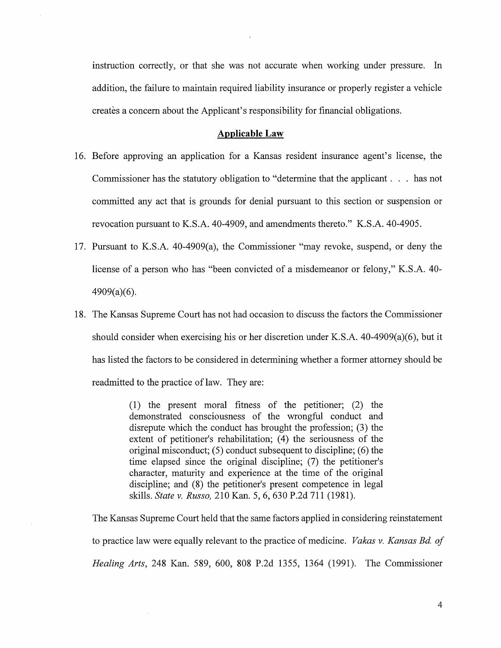instruction correctly, or that she was not accurate when working under pressure. In addition, the failure to maintain required liability insurance or properly register a vehicle creates a concern about the Applicant's responsibility for financial obligations.

#### **Applicable Law**

- 16. Before approving an application for a Kansas resident insurance agent's license, the Commissioner has the statutory obligation to "determine that the applicant ... has not committed any act that is grounds for denial pursuant to this section or suspension or revocation pursuant to K.S.A. 40-4909, and amendments thereto." K.S.A. 40-4905.
- 17. Pursuant to K.S.A. 40-4909(a), the Commissioner "may revoke, suspend, or deny the license of a person who has "been convicted of a misdemeanor or felony," K.S.A. 40- 4909(a)(6).
- 18. The Kansas Supreme Court has not had occasion to discuss the factors the Commissioner should consider when exercising his or her discretion under K.S.A. 40-4909(a)(6), but it has listed the factors to be considered in determining whether a former attorney should be readmitted to the practice of law. They are:

(1) the present moral fitness of the petitioner; (2) the demonstrated consciousness of the wrongful conduct and disrepute which the conduct has brought the profession; (3) the extent of petitioner's rehabilitation; (4) the seriousness of the original misconduct; (5) conduct subsequent to discipline; (6) the time elapsed since the original discipline; (7) the petitioner's character, maturity and experience at the time of the original discipline; and (8) the petitioner's present competence in legal skills. *State v. Russo,* 210 Kan. 5, 6, 630 P.2d 711 (1981).

The Kansas Supreme Court held that the same factors applied in considering reinstatement to practice law were equally relevant to the practice of medicine. *Vakas v. Kansas Bd. of Healing Arts,* 248 Kan. 589, 600, 808 P.2d 1355, 1364 (1991). The Commissioner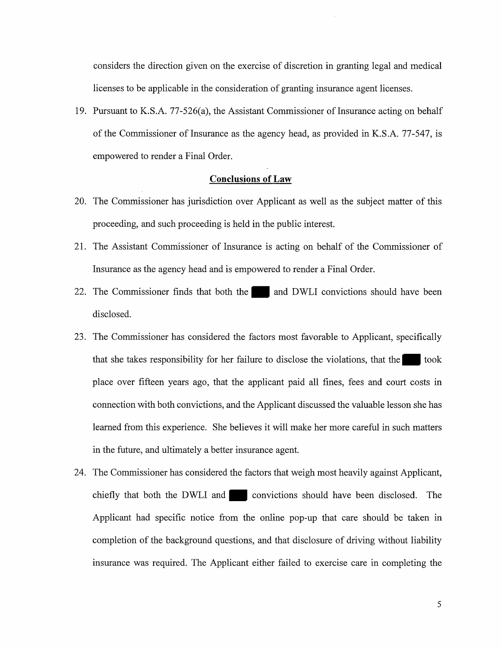considers the direction given on the exercise of discretion in granting legal and medical licenses to be applicable in the consideration of granting insurance agent licenses.

19. Pursuant to K.S.A. 77-526(a), the Assistant Commissioner of Insurance acting on behalf of the Commissioner of Insurance as the agency head, as provided in K.S.A. 77-547, is empowered to render a Final Order.

# **Conclusions of Law**

- 20. The Commissioner has jurisdiction over Applicant as well as the subject matter of this proceeding, and such proceeding is held in the public interest.
- 21. The Assistant Commissioner of Insurance is acting on behalf of the Commissioner of Insurance as the agency head and is empowered to render a Final Order.
- 22. The Commissioner finds that both the and DWLI convictions should have been disclosed.
- 23. The Commissioner has considered the factors most favorable to Applicant, specifically that she takes responsibility for her failure to disclose the violations, that the took place over fifteen years ago, that the applicant paid all fines, fees and court costs in connection with both convictions, and the Applicant discussed the valuable lesson she has learned from this experience. She believes it will make her more careful in such matters in the future, and ultimately a better insurance agent.
- 24. The Commissioner has considered the factors that weigh most heavily against Applicant, chiefly that both the DWLI and convictions should have been disclosed. The Applicant had specific notice from the online pop-up that care should be taken in completion of the background questions, and that disclosure of driving without liability insurance was required. The Applicant either failed to exercise care in completing the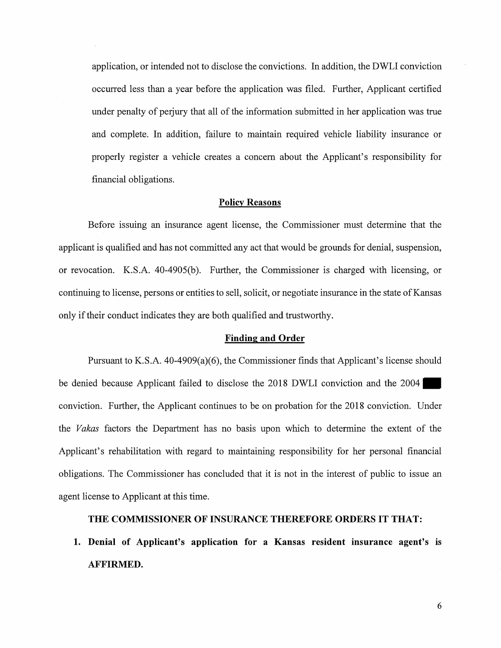application, or intended not to disclose the convictions. In addition, the DWLI conviction occurred less than a year before the application was filed. Further, Applicant certified under penalty of perjury that all of the information submitted in her application was true and complete. In addition, failure to maintain required vehicle liability insurance or properly register a vehicle creates a concern about the Applicant's responsibility for financial obligations.

### **Policy Reasons**

Before issuing an insurance agent license, the Commissioner must determine that the applicant is qualified and has not committed any act that would be grounds for denial, suspension, or revocation. K.S.A. 40-4905(b). Further, the Commissioner is charged with licensing, or continuing to license, persons or entities to sell, solicit, or negotiate insurance in the state of Kansas only if their conduct indicates they are both qualified and trustworthy.

#### **Finding and Order**

Pursuant to K.S.A. 40-4909(a)(6), the Commissioner finds that Applicant's license should be denied because Applicant failed to disclose the 2018 DWLI conviction and the 2004 conviction. Further, the Applicant continues to be on probation for the 2018 conviction. Under the *Vakas* factors the Department has no basis upon which to determine the extent of the Applicant's rehabilitation with regard to maintaining responsibility for her personal financial obligations. The Commissioner has concluded that it is not in the interest of public to issue an agent license to Applicant at this time.

#### **THE COMMISSIONER OF INSURANCE THEREFORE ORDERS IT THAT:**

**1. Denial of Applicant's application for a Kansas resident insurance agent's is AFFIRMED.**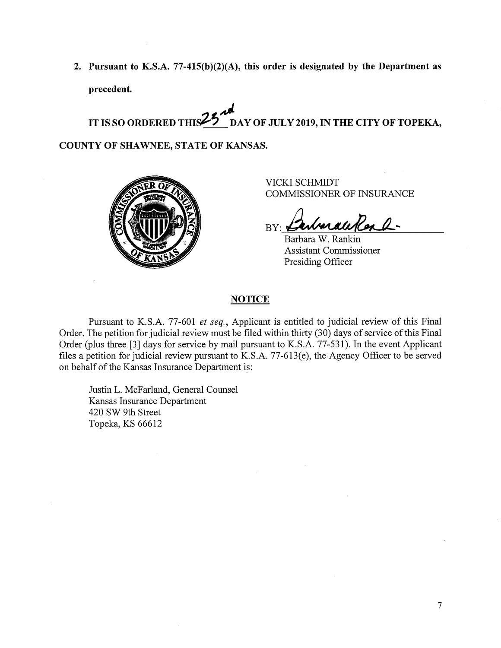**2. Pursuant to K.S.A. 77-415(b)(2)(A), this order is designated by the Department as precedent.** 

IT IS SO ORDERED THIS<sup>25 and</sup> DAY OF JULY 2019, IN THE CITY OF TOPEKA,

**COUNTY OF SHAWNEE, STATE OF KANSAS.** 



VICKI SCHMIDT COMMISSIONER OF INSURANCE

nhan a ti Al  $BY: \triangle$ 

Barbara W. Rankin Assistant Commissioner Presiding Officer

### **NOTICE**

Pursuant to K.S.A. 77-601 *et seq.*, Applicant is entitled to judicial review of this Final Order. The petition for judicial review must be filed within thirty (30) days of service of this Final Order (plus three [3] days for service by mail pursuant to K.S.A. 77-531). In the event Applicant files a petition for judicial review pursuant to K.S.A. 77-613(e), the Agency Officer to be served on behalf of the Kansas Insurance Department is:

Justin L. McFarland, General Counsel Kansas Insurance Department 420 SW 9th Street Topeka, KS 66612